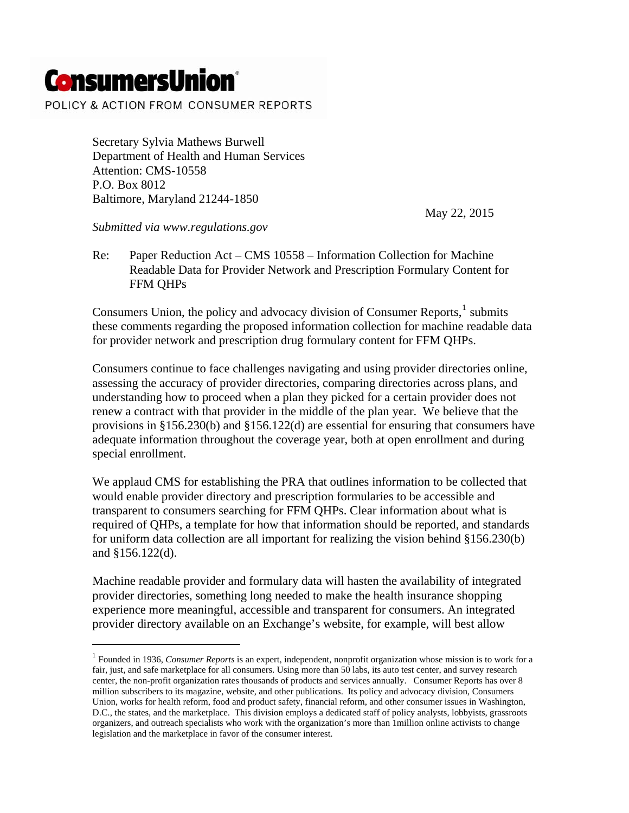## **ConsumersUnion**®

 $\ddot{\phantom{a}}$ 

POLICY & ACTION FROM CONSUMER REPORTS

Secretary Sylvia Mathews Burwell Department of Health and Human Services Attention: CMS-10558 P.O. Box 8012 Baltimore, Maryland 21244-1850

May 22, 2015

*Submitted via www.regulations.gov*

Re: Paper Reduction Act – CMS 10558 – Information Collection for Machine Readable Data for Provider Network and Prescription Formulary Content for FFM QHPs

Consumers Union, the policy and advocacy division of Consumer Reports, $<sup>1</sup>$  $<sup>1</sup>$  $<sup>1</sup>$  submits</sup> these comments regarding the proposed information collection for machine readable data for provider network and prescription drug formulary content for FFM QHPs.

Consumers continue to face challenges navigating and using provider directories online, assessing the accuracy of provider directories, comparing directories across plans, and understanding how to proceed when a plan they picked for a certain provider does not renew a contract with that provider in the middle of the plan year. We believe that the provisions in §156.230(b) and §156.122(d) are essential for ensuring that consumers have adequate information throughout the coverage year, both at open enrollment and during special enrollment.

We applaud CMS for establishing the PRA that outlines information to be collected that would enable provider directory and prescription formularies to be accessible and transparent to consumers searching for FFM QHPs. Clear information about what is required of QHPs, a template for how that information should be reported, and standards for uniform data collection are all important for realizing the vision behind §156.230(b) and §156.122(d).

Machine readable provider and formulary data will hasten the availability of integrated provider directories, something long needed to make the health insurance shopping experience more meaningful, accessible and transparent for consumers. An integrated provider directory available on an Exchange's website, for example, will best allow

<span id="page-0-0"></span><sup>&</sup>lt;sup>1</sup> Founded in 1936, *Consumer Reports* is an expert, independent, nonprofit organization whose mission is to work for a fair, just, and safe marketplace for all consumers. Using more than 50 labs, its auto test center, and survey research center, the non-profit organization rates thousands of products and services annually. Consumer Reports has over 8 million subscribers to its magazine, website, and other publications. Its policy and advocacy division, Consumers Union, works for health reform, food and product safety, financial reform, and other consumer issues in Washington, D.C., the states, and the marketplace. This division employs a dedicated staff of policy analysts, lobbyists, grassroots organizers, and outreach specialists who work with the organization's more than 1million online activists to change legislation and the marketplace in favor of the consumer interest.